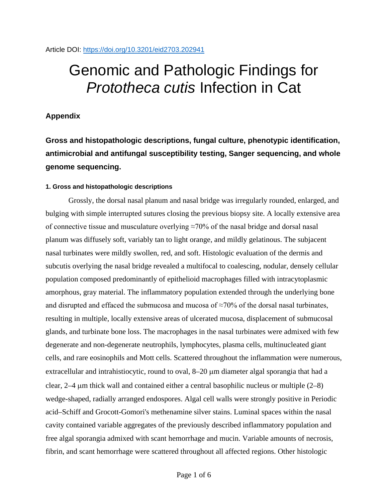# Genomic and Pathologic Findings for *Prototheca cutis* Infection in Cat

# **Appendix**

**Gross and histopathologic descriptions, fungal culture, phenotypic identification, antimicrobial and antifungal susceptibility testing, Sanger sequencing, and whole genome sequencing.**

## **1. Gross and histopathologic descriptions**

Grossly, the dorsal nasal planum and nasal bridge was irregularly rounded, enlarged, and bulging with simple interrupted sutures closing the previous biopsy site. A locally extensive area of connective tissue and musculature overlying ≈70% of the nasal bridge and dorsal nasal planum was diffusely soft, variably tan to light orange, and mildly gelatinous. The subjacent nasal turbinates were mildly swollen, red, and soft. Histologic evaluation of the dermis and subcutis overlying the nasal bridge revealed a multifocal to coalescing, nodular, densely cellular population composed predominantly of epithelioid macrophages filled with intracytoplasmic amorphous, gray material. The inflammatory population extended through the underlying bone and disrupted and effaced the submucosa and mucosa of  $\approx$ 70% of the dorsal nasal turbinates, resulting in multiple, locally extensive areas of ulcerated mucosa, displacement of submucosal glands, and turbinate bone loss. The macrophages in the nasal turbinates were admixed with few degenerate and non-degenerate neutrophils, lymphocytes, plasma cells, multinucleated giant cells, and rare eosinophils and Mott cells. Scattered throughout the inflammation were numerous, extracellular and intrahistiocytic, round to oval, 8–20 µm diameter algal sporangia that had a clear,  $2-4$  µm thick wall and contained either a central basophilic nucleus or multiple  $(2-8)$ wedge-shaped, radially arranged endospores. Algal cell walls were strongly positive in Periodic acid–Schiff and Grocott-Gomori's methenamine silver stains. Luminal spaces within the nasal cavity contained variable aggregates of the previously described inflammatory population and free algal sporangia admixed with scant hemorrhage and mucin. Variable amounts of necrosis, fibrin, and scant hemorrhage were scattered throughout all affected regions. Other histologic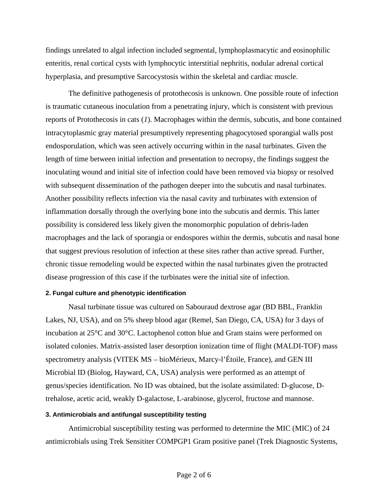findings unrelated to algal infection included segmental, lymphoplasmacytic and eosinophilic enteritis, renal cortical cysts with lymphocytic interstitial nephritis, nodular adrenal cortical hyperplasia, and presumptive Sarcocystosis within the skeletal and cardiac muscle.

The definitive pathogenesis of protothecosis is unknown. One possible route of infection is traumatic cutaneous inoculation from a penetrating injury, which is consistent with previous reports of Protothecosis in cats (*1*). Macrophages within the dermis, subcutis, and bone contained intracytoplasmic gray material presumptively representing phagocytosed sporangial walls post endosporulation, which was seen actively occurring within in the nasal turbinates. Given the length of time between initial infection and presentation to necropsy, the findings suggest the inoculating wound and initial site of infection could have been removed via biopsy or resolved with subsequent dissemination of the pathogen deeper into the subcutis and nasal turbinates. Another possibility reflects infection via the nasal cavity and turbinates with extension of inflammation dorsally through the overlying bone into the subcutis and dermis. This latter possibility is considered less likely given the monomorphic population of debris-laden macrophages and the lack of sporangia or endospores within the dermis, subcutis and nasal bone that suggest previous resolution of infection at these sites rather than active spread. Further, chronic tissue remodeling would be expected within the nasal turbinates given the protracted disease progression of this case if the turbinates were the initial site of infection.

#### **2. Fungal culture and phenotypic identification**

Nasal turbinate tissue was cultured on Sabouraud dextrose agar (BD BBL, Franklin Lakes, NJ, USA), and on 5% sheep blood agar (Remel, San Diego, CA, USA) for 3 days of incubation at 25°C and 30°C. Lactophenol cotton blue and Gram stains were performed on isolated colonies. Matrix-assisted laser desorption ionization time of flight (MALDI-TOF) mass spectrometry analysis (VITEK MS – bioMérieux, Marcy-l'Étoile, France), and GEN III Microbial ID (Biolog, Hayward, CA, USA) analysis were performed as an attempt of genus/species identification. No ID was obtained, but the isolate assimilated: D-glucose, Dtrehalose, acetic acid, weakly D-galactose, L-arabinose, glycerol, fructose and mannose.

#### **3. Antimicrobials and antifungal susceptibility testing**

Antimicrobial susceptibility testing was performed to determine the MIC (MIC) of 24 antimicrobials using Trek Sensititer COMPGP1 Gram positive panel (Trek Diagnostic Systems,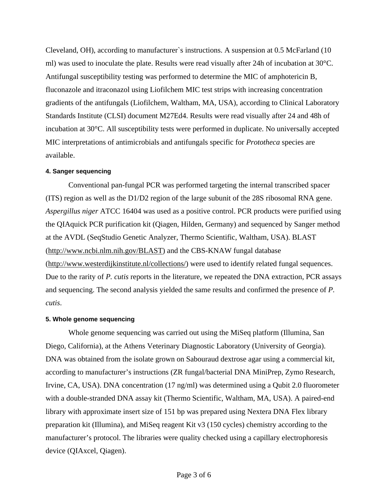Cleveland, OH), according to manufacturer`s instructions. A suspension at 0.5 McFarland (10 ml) was used to inoculate the plate. Results were read visually after 24h of incubation at 30°C. Antifungal susceptibility testing was performed to determine the MIC of amphotericin B, fluconazole and itraconazol using Liofilchem MIC test strips with increasing concentration gradients of the antifungals (Liofilchem, Waltham, MA, USA), according to Clinical Laboratory Standards Institute (CLSI) document M27Ed4. Results were read visually after 24 and 48h of incubation at 30°C. All susceptibility tests were performed in duplicate. No universally accepted MIC interpretations of antimicrobials and antifungals specific for *Prototheca* species are available.

#### **4. Sanger sequencing**

Conventional pan-fungal PCR was performed targeting the internal transcribed spacer (ITS) region as well as the D1/D2 region of the large subunit of the 28S ribosomal RNA gene. *Aspergillus niger* ATCC 16404 was used as a positive control. PCR products were purified using the QIAquick PCR purification kit (Qiagen, Hilden, Germany) and sequenced by Sanger method at the AVDL (SeqStudio Genetic Analyzer, Thermo Scientific, Waltham, USA). BLAST (http://www.ncbi.nlm.nih.gov/BLAST) and the CBS-KNAW fungal database (http://www.westerdijkinstitute.nl/collections/) were used to identify related fungal sequences. Due to the rarity of *P. cutis* reports in the literature, we repeated the DNA extraction, PCR assays and sequencing. The second analysis yielded the same results and confirmed the presence of *P. cutis*.

### **5. Whole genome sequencing**

Whole genome sequencing was carried out using the MiSeq platform (Illumina, San Diego, California), at the Athens Veterinary Diagnostic Laboratory (University of Georgia). DNA was obtained from the isolate grown on Sabouraud dextrose agar using a commercial kit, according to manufacturer's instructions (ZR fungal/bacterial DNA MiniPrep, Zymo Research, Irvine, CA, USA). DNA concentration (17 ng/ml) was determined using a Qubit 2.0 fluorometer with a double-stranded DNA assay kit (Thermo Scientific, Waltham, MA, USA). A paired-end library with approximate insert size of 151 bp was prepared using Nextera DNA Flex library preparation kit (Illumina), and MiSeq reagent Kit v3 (150 cycles) chemistry according to the manufacturer's protocol. The libraries were quality checked using a capillary electrophoresis device (QIAxcel, Qiagen).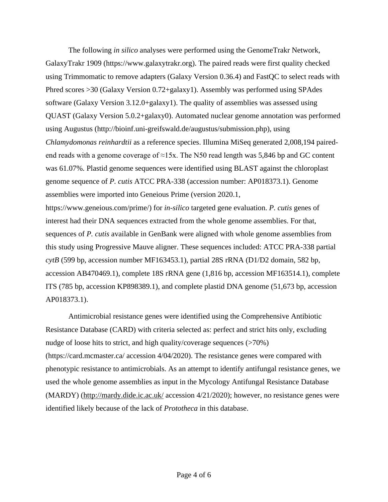The following *in silico* analyses were performed using the GenomeTrakr Network, GalaxyTrakr 1909 (https://www.galaxytrakr.org). The paired reads were first quality checked using Trimmomatic to remove adapters (Galaxy Version 0.36.4) and FastQC to select reads with Phred scores >30 (Galaxy Version 0.72+galaxy1). Assembly was performed using SPAdes software (Galaxy Version 3.12.0+galaxy1). The quality of assemblies was assessed using QUAST (Galaxy Version 5.0.2+galaxy0). Automated nuclear genome annotation was performed using Augustus (http://bioinf.uni-greifswald.de/augustus/submission.php), using *Chlamydomonas reinhardtii* as a reference species. Illumina MiSeq generated 2,008,194 pairedend reads with a genome coverage of  $\approx$ 15x. The N50 read length was 5,846 bp and GC content was 61.07%. Plastid genome sequences were identified using BLAST against the chloroplast genome sequence of *P. cutis* ATCC PRA-338 (accession number: AP018373.1). Genome assemblies were imported into Geneious Prime (version 2020.1, https://www.geneious.com/prime/) for *in-silico* targeted gene evaluation. *P. cutis* genes of interest had their DNA sequences extracted from the whole genome assemblies. For that, sequences of *P. cutis* available in GenBank were aligned with whole genome assemblies from this study using Progressive Mauve aligner. These sequences included: ATCC PRA-338 partial *cytB* (599 bp, accession number MF163453.1), partial 28S rRNA (D1/D2 domain, 582 bp, accession AB470469.1), complete 18S rRNA gene (1,816 bp, accession MF163514.1), complete ITS (785 bp, accession KP898389.1), and complete plastid DNA genome (51,673 bp, accession AP018373.1).

Antimicrobial resistance genes were identified using the Comprehensive Antibiotic Resistance Database (CARD) with criteria selected as: perfect and strict hits only, excluding nudge of loose hits to strict, and high quality/coverage sequences  $($ >70%) (https://card.mcmaster.ca/ accession 4/04/2020). The resistance genes were compared with phenotypic resistance to antimicrobials. As an attempt to identify antifungal resistance genes, we used the whole genome assemblies as input in the Mycology Antifungal Resistance Database (MARDY) (http://mardy.dide.ic.ac.uk/ accession 4/21/2020); however, no resistance genes were identified likely because of the lack of *Prototheca* in this database.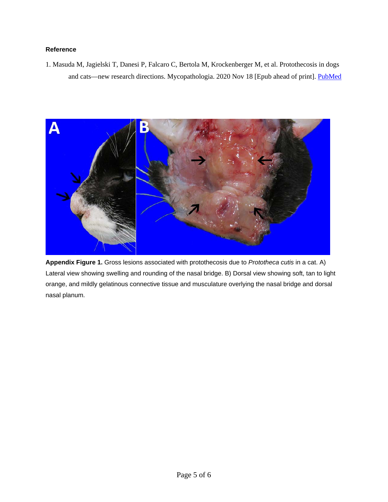# **Reference**

1. Masuda M, Jagielski T, Danesi P, Falcaro C, Bertola M, Krockenberger M, et al. Protothecosis in dogs and cats—new research directions. Mycopathologia. 2020 Nov 18 [Epub ahead of print]. [PubMed](https://www.ncbi.nlm.nih.gov/entrez/query.fcgi?cmd=Retrieve&db=PubMed&list_uids=33206310&dopt=Abstract)



**Appendix Figure 1.** Gross lesions associated with protothecosis due to *Prototheca cutis* in a cat. A) Lateral view showing swelling and rounding of the nasal bridge. B) Dorsal view showing soft, tan to light orange, and mildly gelatinous connective tissue and musculature overlying the nasal bridge and dorsal nasal planum.